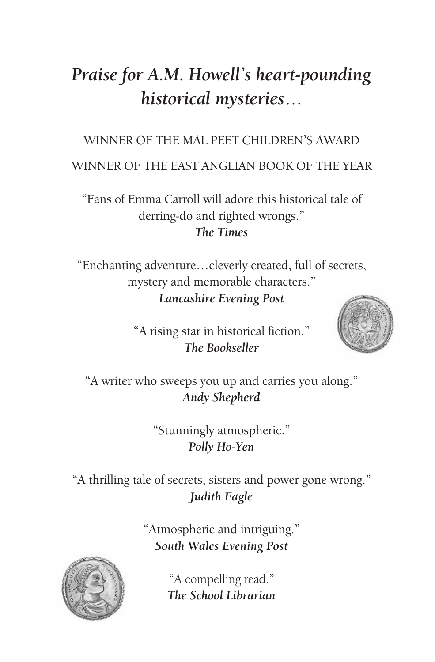#### *Praise for A.M. Howell's heart-pounding historical mysteries*…

WINNER OF THE MAL PEET CHILDREN'S AWARD WINNER OF THE EAST ANGLIAN BOOK OF THE YEAR

"Fans of Emma Carroll will adore this historical tale of derring-do and righted wrongs." *The Times*

"Enchanting adventure…cleverly created, full of secrets, mystery and memorable characters." *Lancashire Evening Post* 

> "A rising star in historical fiction." *The Bookseller*



"A writer who sweeps you up and carries you along." *Andy Shepherd*

> "Stunningly atmospheric." *Polly Ho-Yen*

"A thrilling tale of secrets, sisters and power gone wrong." *Judith Eagle*

> "Atmospheric and intriguing." *South Wales Evening Post*



"A compelling read." *The School Librarian*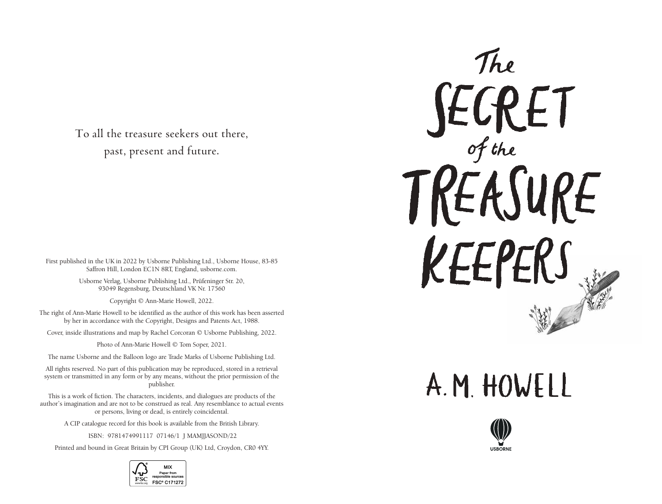To all the treasure seekers out there, past, present and future.

First published in the UK in 2022 by Usborne Publishing Ltd., Usborne House, 83-85 Saffron Hill, London EC1N 8RT, England, usborne.com.

> Usborne Verlag, Usborne Publishing Ltd., Prüfeninger Str. 20, 93049 Regensburg, Deutschland VK Nr. 17560

> > Copyright © Ann-Marie Howell, 2022.

The right of Ann-Marie Howell to be identified as the author of this work has been asserted by her in accordance with the Copyright, Designs and Patents Act, 1988.

Cover, inside illustrations and map by Rachel Corcoran © Usborne Publishing, 2022.

Photo of Ann-Marie Howell © Tom Soper, 2021.

The name Usborne and the Balloon logo are Trade Marks of Usborne Publishing Ltd.

All rights reserved. No part of this publication may be reproduced, stored in a retrieval system or transmitted in any form or by any means, without the prior permission of the publisher.

This is a work of fiction. The characters, incidents, and dialogues are products of the author's imagination and are not to be construed as real. Any resemblance to actual events or persons, living or dead, is entirely coincidental.

A CIP catalogue record for this book is available from the British Library.

ISBN: 9781474991117 07146/1 J MAMJJASOND/22

Printed and bound in Great Britain by CPI Group (UK) Ltd, Croydon, CR0 4YY.



# The SECRET<br>TREASURE KEEPERS

A.M. HOWELL

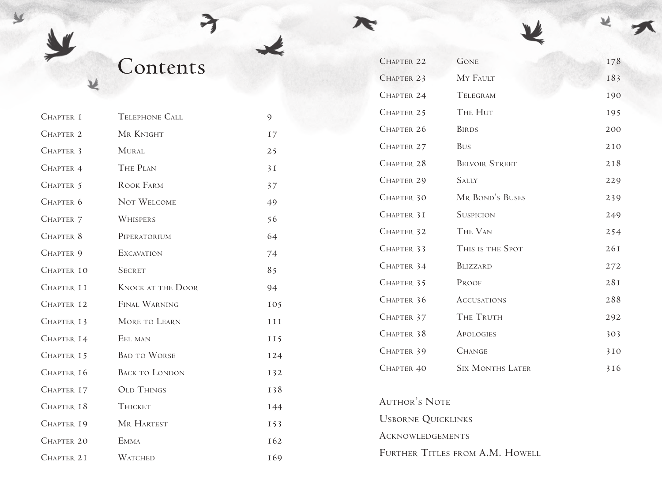### Contents

| CHAPTER I  | <b>TELEPHONE CALL</b>    | 9   |
|------------|--------------------------|-----|
| CHAPTER 2  | MR KNIGHT                | 17  |
| CHAPTER 3  | <b>MURAL</b>             | 25  |
| CHAPTER 4  | THE PLAN                 | 3I  |
| CHAPTER 5  | <b>ROOK FARM</b>         | 37  |
| CHAPTER 6  | NOT WELCOME              | 49  |
| CHAPTER 7  | <b>WHISPERS</b>          | 56  |
| CHAPTER 8  | PIPERATORIUM             | 64  |
| CHAPTER 9  | <b>EXCAVATION</b>        | 74  |
| CHAPTER 10 | <b>SECRET</b>            | 85  |
| CHAPTER II | <b>KNOCK AT THE DOOR</b> | 94  |
| CHAPTER 12 | FINAL WARNING            | 105 |
| CHAPTER 13 | <b>MORE TO LEARN</b>     | III |
| CHAPTER 14 | <b>EEL MAN</b>           | 115 |
| CHAPTER 15 | <b>BAD TO WORSE</b>      | 124 |
| CHAPTER 16 | <b>BACK TO LONDON</b>    | 132 |
| CHAPTER 17 | <b>OLD THINGS</b>        | 138 |
| CHAPTER 18 | <b>THICKET</b>           | 144 |
| CHAPTER 19 | MR HARTEST               | 153 |
| CHAPTER 20 | <b>EMMA</b>              | 162 |
| CHAPTER 21 | <b>WATCHED</b>           | 169 |

| CHAPTER 22 | GONE                    | 178 |
|------------|-------------------------|-----|
| CHAPTER 23 | MY FAULT                | 183 |
| CHAPTER 24 | <b>TELEGRAM</b>         | 190 |
| CHAPTER 25 | THE HUT                 | 195 |
| CHAPTER 26 | <b>BIRDS</b>            | 200 |
| CHAPTER 27 | <b>BUS</b>              | 210 |
| CHAPTER 28 | <b>BELVOIR STREET</b>   | 218 |
| CHAPTER 29 | <b>SALLY</b>            | 229 |
| CHAPTER 30 | MR BOND'S BUSES         | 239 |
| CHAPTER 31 | <b>SUSPICION</b>        | 249 |
| CHAPTER 32 | THE VAN                 | 254 |
| CHAPTER 33 | THIS IS THE SPOT        | 261 |
| CHAPTER 34 | <b>BLIZZARD</b>         | 272 |
| CHAPTER 35 | PROOF                   | 281 |
| CHAPTER 36 | <b>ACCUSATIONS</b>      | 288 |
| CHAPTER 37 | THE TRUTH               | 292 |
| CHAPTER 38 | <b>APOLOGIES</b>        | 303 |
| CHAPTER 39 | <b>CHANGE</b>           | 310 |
| CHAPTER 40 | <b>SIX MONTHS LATER</b> | 316 |
|            |                         |     |

Author's Note Usborne Quicklinks **ACKNOWLEDGEMENTS** FURTHER TITLES FROM A.M. HOWELL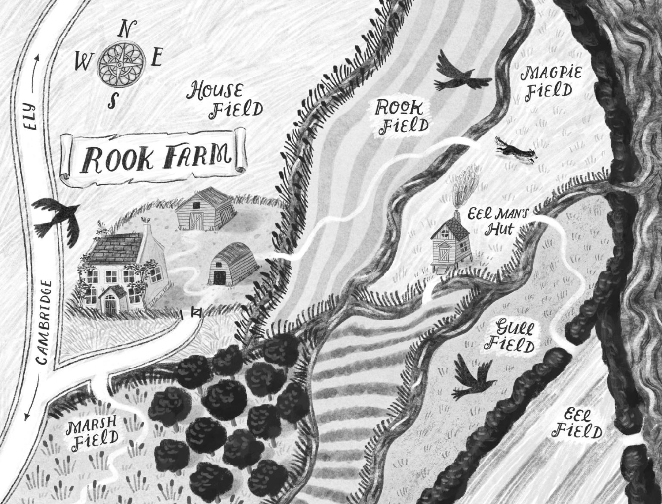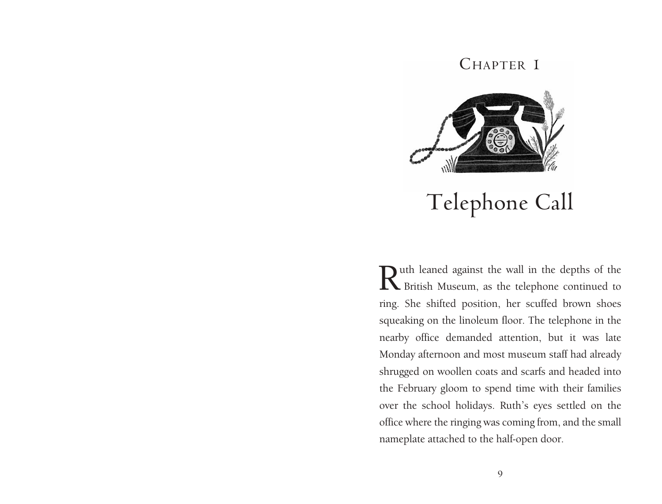#### CHAPTER I



## Telephone Call

Ruth leaned against the wall in the depths of the British Museum, as the telephone continued to ring. She shifted position, her scuffed brown shoes squeaking on the linoleum floor. The telephone in the nearby office demanded attention, but it was late Monday afternoon and most museum staff had already shrugged on woollen coats and scarfs and headed into the February gloom to spend time with their families over the school holidays. Ruth's eyes settled on the office where the ringing was coming from, and the small nameplate attached to the half-open door.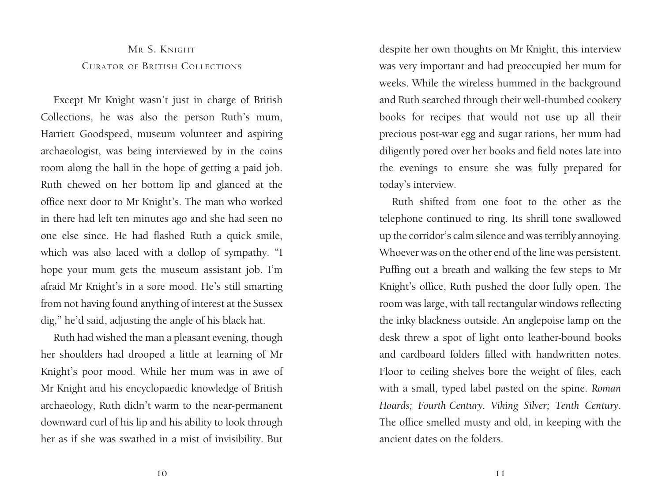#### MR S. KNIGHT CURATOR OF BRITISH COLLECTIONS

Except Mr Knight wasn't just in charge of British Collections, he was also the person Ruth's mum, Harriett Goodspeed, museum volunteer and aspiring archaeologist, was being interviewed by in the coins room along the hall in the hope of getting a paid job. Ruth chewed on her bottom lip and glanced at the office next door to Mr Knight's. The man who worked in there had left ten minutes ago and she had seen no one else since. He had flashed Ruth a quick smile, which was also laced with a dollop of sympathy. "I hope your mum gets the museum assistant job. I'm afraid Mr Knight's in a sore mood. He's still smarting from not having found anything of interest at the Sussex dig," he'd said, adjusting the angle of his black hat.

Ruth had wished the man a pleasant evening, though her shoulders had drooped a little at learning of Mr Knight's poor mood. While her mum was in awe of Mr Knight and his encyclopaedic knowledge of British archaeology, Ruth didn't warm to the near-permanent downward curl of his lip and his ability to look through her as if she was swathed in a mist of invisibility. But despite her own thoughts on Mr Knight, this interview was very important and had preoccupied her mum for weeks. While the wireless hummed in the background and Ruth searched through their well-thumbed cookery books for recipes that would not use up all their precious post-war egg and sugar rations, her mum had diligently pored over her books and field notes late into the evenings to ensure she was fully prepared for today's interview.

Ruth shifted from one foot to the other as the telephone continued to ring. Its shrill tone swallowed up the corridor's calm silence and was terribly annoying. Whoever was on the other end of the line was persistent. Puffing out a breath and walking the few steps to Mr Knight's office, Ruth pushed the door fully open. The room was large, with tall rectangular windows reflecting the inky blackness outside. An anglepoise lamp on the desk threw a spot of light onto leather-bound books and cardboard folders filled with handwritten notes. Floor to ceiling shelves bore the weight of files, each with a small, typed label pasted on the spine. *Roman Hoards; Fourth Century. Viking Silver; Tenth Century*. The office smelled musty and old, in keeping with the ancient dates on the folders.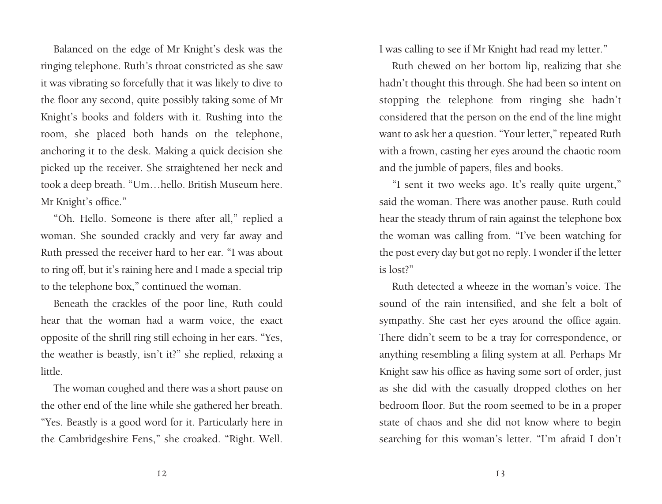Balanced on the edge of Mr Knight's desk was the ringing telephone. Ruth's throat constricted as she saw it was vibrating so forcefully that it was likely to dive to the floor any second, quite possibly taking some of Mr Knight's books and folders with it. Rushing into the room, she placed both hands on the telephone, anchoring it to the desk. Making a quick decision she picked up the receiver. She straightened her neck and took a deep breath. "Um…hello. British Museum here. Mr Knight's office."

"Oh. Hello. Someone is there after all," replied a woman. She sounded crackly and very far away and Ruth pressed the receiver hard to her ear. "I was about to ring off, but it's raining here and I made a special trip to the telephone box," continued the woman.

Beneath the crackles of the poor line, Ruth could hear that the woman had a warm voice, the exact opposite of the shrill ring still echoing in her ears. "Yes, the weather is beastly, isn't it?" she replied, relaxing a little.

The woman coughed and there was a short pause on the other end of the line while she gathered her breath. "Yes. Beastly is a good word for it. Particularly here in the Cambridgeshire Fens," she croaked. "Right. Well. I was calling to see if Mr Knight had read my letter."

Ruth chewed on her bottom lip, realizing that she hadn't thought this through. She had been so intent on stopping the telephone from ringing she hadn't considered that the person on the end of the line might want to ask her a question. "Your letter," repeated Ruth with a frown, casting her eyes around the chaotic room and the jumble of papers, files and books.

"I sent it two weeks ago. It's really quite urgent," said the woman. There was another pause. Ruth could hear the steady thrum of rain against the telephone box the woman was calling from. "I've been watching for the post every day but got no reply. I wonder if the letter is lost?"

Ruth detected a wheeze in the woman's voice. The sound of the rain intensified, and she felt a bolt of sympathy. She cast her eyes around the office again. There didn't seem to be a tray for correspondence, or anything resembling a filing system at all. Perhaps Mr Knight saw his office as having some sort of order, just as she did with the casually dropped clothes on her bedroom floor. But the room seemed to be in a proper state of chaos and she did not know where to begin searching for this woman's letter. "I'm afraid I don't